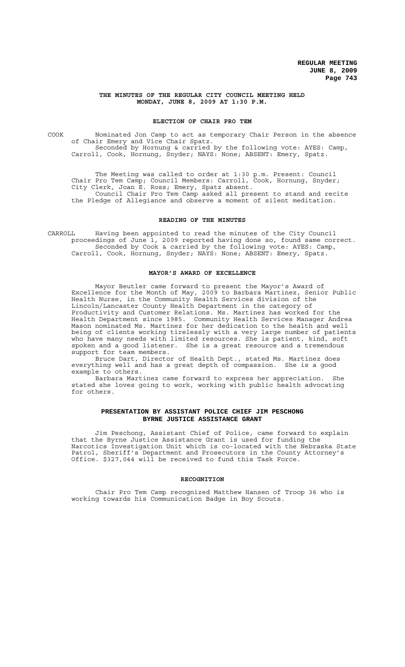#### **THE MINUTES OF THE REGULAR CITY COUNCIL MEETING HELD MONDAY, JUNE 8, 2009 AT 1:30 P.M.**

#### **ELECTION OF CHAIR PRO TEM**

COOK Nominated Jon Camp to act as temporary Chair Person in the absence of Chair Emery and Vice Chair Spatz. Seconded by Hornung & carried by the following vote: AYES: Camp, Carroll, Cook, Hornung, Snyder; NAYS: None; ABSENT: Emery, Spatz.

The Meeting was called to order at 1:30 p.m. Present: Council Chair Pro Tem Camp; Council Members: Carroll, Cook, Hornung, Snyder; City Clerk, Joan E. Ross; Emery, Spatz absent. Council Chair Pro Tem Camp asked all present to stand and recite the Pledge of Allegiance and observe a moment of silent meditation.

## **READING OF THE MINUTES**

CARROLL Having been appointed to read the minutes of the City Council proceedings of June 1, 2009 reported having done so, found same correct. Seconded by Cook & carried by the following vote: AYES: Camp, Carroll, Cook, Hornung, Snyder; NAYS: None; ABSENT: Emery, Spatz.

#### **MAYOR'S AWARD OF EXCELLENCE**

Mayor Beutler came forward to present the Mayor's Award of Excellence for the Month of May, 2009 to Barbara Martinez, Senior Public Health Nurse, in the Community Health Services division of the Lincoln/Lancaster County Health Department in the category of Productivity and Customer Relations. Ms. Martinez has worked for the Health Department since 1985. Community Health Services Manager Andrea Mason nominated Ms. Martinez for her dedication to the health and well being of clients working tirelessly with a very large number of patients who have many needs with limited resources. She is patient, kind, soft spoken and a good listener. She is a great resource and a tremendous support for team members.

Bruce Dart, Director of Health Dept., stated Ms. Martinez does everything well and has a great depth of compassion. She is a good example to others.

Barbara Martinez came forward to express her appreciation. She stated she loves going to work, working with public health advocating for others.

### **PRESENTATION BY ASSISTANT POLICE CHIEF JIM PESCHONG BYRNE JUSTICE ASSISTANCE GRANT**

Jim Peschong, Assistant Chief of Police, came forward to explain that the Byrne Justice Assistance Grant is used for funding the Narcotics Investigation Unit which is co-located with the Nebraska State Patrol, Sheriff's Department and Prosecutors in the County Attorney's Office. \$327,044 will be received to fund this Task Force.

#### **RECOGNITION**

Chair Pro Tem Camp recognized Matthew Hansen of Troop 36 who is working towards his Communication Badge in Boy Scouts.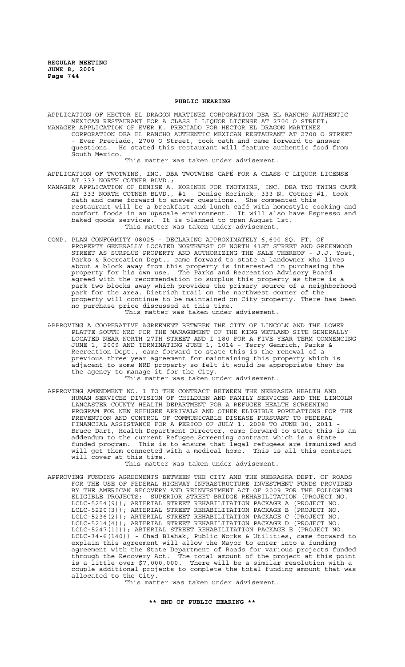#### **PUBLIC HEARING**

APPLICATION OF HECTOR EL DRAGON MARTINEZ CORPORATION DBA EL RANCHO AUTHENTIC MEXICAN RESTAURANT FOR A CLASS I LIQUOR LICENSE AT 2700 O STREET; MANAGER APPLICATION OF EVER K. PRECIADO FOR HECTOR EL DRAGON MARTINEZ CORPORATION DBA EL RANCHO AUTHENTIC MEXICAN RESTAURANT AT 2700 O STREET - Ever Preciado, 2700 O Street, took oath and came forward to answer questions. He stated this restaurant will feature authentic food from South Mexico.

This matter was taken under advisement.

APPLICATION OF TWOTWINS, INC. DBA TWOTWINS CAFÉ FOR A CLASS C LIQUOR LICENSE AT 333 NORTH COTNER BLVD.;

- MANAGER APPLICATION OF DENISE A. KORINEK FOR TWOTWINS, INC. DBA TWO TWINS CAFÉ AT 333 NORTH COTNER BLVD., #1 - Denise Korinek, 333 N. Cotner #1, took oath and came forward to answer questions. She commented this restaurant will be a breakfast and lunch café with homestyle cooking and comfort foods in an upscale environment. It will also have Espresso and baked goods services. It is planned to open August 1st. This matter was taken under advisement.
- COMP. PLAN CONFORMITY 08025 DECLARING APPROXIMATELY 6,600 SQ. FT. OF PROPERTY GENERALLY LOCATED NORTHWEST OF NORTH 41ST STREET AND GREENWOOD STREET AS SURPLUS PROPERTY AND AUTHORIZING THE SALE THEREOF - J.J. Yost, Parks & Recreation Dept., came forward to state a landowner who lives about a block away from this property is interested in purchasing the property for his own use. The Parks and Recreation Advisory Board agreed with the recommendation to surplus this property as there is a park two blocks away which provides the primary source of a neighborhood park for the area. Dietrich trail on the northwest corner of the property will continue to be maintained on City property. There has been no purchase price discussed at this time. This matter was taken under advisement.
- APPROVING A COOPERATIVE AGREEMENT BETWEEN THE CITY OF LINCOLN AND THE LOWER PLATTE SOUTH NRD FOR THE MANAGEMENT OF THE KING WETLAND SITE GENERALLY LOCATED NEAR NORTH 27TH STREET AND I-180 FOR A FIVE-YEAR TERM COMMENCING JUNE 1, 2009 AND TERMINATING JUNE 1, 1014 - Terry Genrich, Parks & Recreation Dept., came forward to state this is the renewal of a previous three year agreement for maintaining this property which is adjacent to some NRD property so felt it would be appropriate they be the agency to manage it for the City. This matter was taken under advisement.
- APPROVING AMENDMENT NO. 1 TO THE CONTRACT BETWEEN THE NEBRASKA HEALTH AND HUMAN SERVICES DIVISION OF CHILDREN AND FAMILY SERVICES AND THE LINCOLN LANCASTER COUNTY HEALTH DEPARTMENT FOR A REFUGEE HEALTH SCREENING PROGRAM FOR NEW REFUGEE ARRIVALS AND OTHER ELIGIBLE POPULATIONS FOR THE PREVENTION AND CONTROL OF COMMUNICABLE DISEASE PURSUANT TO FEDERAL FINANCIAL ASSISTANCE FOR A PERIOD OF JULY 1, 2008 TO JUNE 30, 2011 - Bruce Dart, Health Department Director, came forward to state this is an addendum to the current Refugee Screening contract which is a State funded program. This is to ensure that legal refugees are immunized and will get them connected with a medical home. This is all this contract will cover at this time.

This matter was taken under advisement.

APPROVING FUNDING AGREEMENTS BETWEEN THE CITY AND THE NEBRASKA DEPT. OF ROADS FOR THE USE OF FEDERAL HIGHWAY INFRASTRUCTURE INVESTMENT FUNDS PROVIDED BY THE AMERICAN RECOVERY AND REINVESTMENT ACT OF 2009 FOR THE FOLLOWING ELIGIBLE PROJECTS: SUPERIOR STREET BRIDGE REHABILITATION (PROJECT NO. LCLC-5254(9)); ARTERIAL STREET REHABILITATION PACKAGE A (PROJECT NO. LCLC-5220(3)); ARTERIAL STREET REHABILITATION PACKAGE B (PROJECT NO. LCLC-5236(2)); ARTERIAL STREET REHABILITATION PACKAGE C (PROJECT NO. LCLC-5214(4)); ARTERIAL STREET REHABILITATION PACKAGE D (PROJECT NO. LCLC-5247(11)); ARTERIAL STREET REHABILITATION PACKAGE E (PROJECT NO. LCLC-34-6(140)) - Chad Blahak, Public Works & Utilities, came forward to explain this agreement will allow the Mayor to enter into a funding agreement with the State Department of Roads for various projects funded through the Recovery Act. The total amount of the project at this point is a little over \$7,000,000. There will be a similar resolution with a couple additional projects to complete the total funding amount that was allocated to the City.

This matter was taken under advisement.

**\*\* END OF PUBLIC HEARING \*\***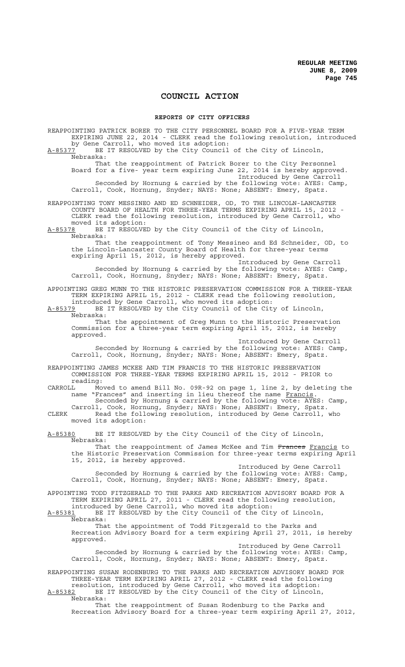## **COUNCIL ACTION**

#### **REPORTS OF CITY OFFICERS**

REAPPOINTING PATRICK BORER TO THE CITY PERSONNEL BOARD FOR A FIVE-YEAR TERM EXPIRING JUNE 22, 2014 - CLERK read the following resolution, introduced by Gene Carroll, who moved its adoption: A-85377<sup>1</sup> BE IT RESOLVED by the City Council of the City of Lincoln, Nebraska: That the reappointment of Patrick Borer to the City Personnel Board for a five- year term expiring June 22, 2014 is hereby approved. Introduced by Gene Carroll Seconded by Hornung & carried by the following vote: AYES: Camp, Carroll, Cook, Hornung, Snyder; NAYS: None; ABSENT: Emery, Spatz. REAPPOINTING TONY MESSINEO AND ED SCHNEIDER, OD, TO THE LINCOLN-LANCASTER COUNTY BOARD OF HEALTH FOR THREE-YEAR TERMS EXPIRING APRIL 15, 2012 - CLERK read the following resolution, introduced by Gene Carroll, who moved its adoption:<br>A-85378 BE IT RESOLVE BE IT RESOLVED by the City Council of the City of Lincoln, Nebraska: That the reappointment of Tony Messineo and Ed Schneider, OD, to the Lincoln-Lancaster County Board of Health for three-year terms expiring April 15, 2012, is hereby approved. Introduced by Gene Carroll Seconded by Hornung & carried by the following vote: AYES: Camp, Carroll, Cook, Hornung, Snyder; NAYS: None; ABSENT: Emery, Spatz. APPOINTING GREG MUNN TO THE HISTORIC PRESERVATION COMMISSION FOR A THREE-YEAR TERM EXPIRING APRIL 15, 2012 - CLERK read the following resolution, introduced by Gene Carroll, who moved its adoption: A-85379 BE IT RESOLVED by the City Council of the City of Lincoln, Nebraska: That the appointment of Greg Munn to the Historic Preservation Commission for a three-year term expiring April 15, 2012, is hereby approved. Introduced by Gene Carroll Seconded by Hornung & carried by the following vote: AYES: Camp, Carroll, Cook, Hornung, Snyder; NAYS: None; ABSENT: Emery, Spatz. REAPPOINTING JAMES MCKEE AND TIM FRANCIS TO THE HISTORIC PRESERVATION COMMISSION FOR THREE-YEAR TERMS EXPIRING APRIL 15, 2012 - PRIOR to reading:<br>CARROLL Mo CARROLL Moved to amend Bill No. 09R-92 on page 1, line 2, by deleting the name "Frances" and inserting in lieu thereof the name Francis. Seconded by Hornung & carried by the following vote: AYES: Camp, Carroll, Cook, Hornung, Snyder; NAYS: None; ABSENT: Emery, Spatz. CLERK Read the following resolution, introduced by Gene Carroll, who moved its adoption: A-85380 BE IT RESOLVED by the City Council of the City of Lincoln, Nebraska: That the reappointment of James McKee and Tim Frances Francis to the Historic Preservation Commission for three-year terms expiring April 15, 2012, is hereby approved. Introduced by Gene Carroll Seconded by Hornung & carried by the following vote: AYES: Camp, Carroll, Cook, Hornung, Snyder; NAYS: None; ABSENT: Emery, Spatz. APPOINTING TODD FITZGERALD TO THE PARKS AND RECREATION ADVISORY BOARD FOR A TERM EXPIRING APRIL 27, 2011 - CLERK read the following resolution, introduced by Gene Carroll, who moved its adoption: A-85381 BE IT RESOLVED by the City Council of the City of Lincoln, Nebraska: That the appointment of Todd Fitzgerald to the Parks and Recreation Advisory Board for a term expiring April 27, 2011, is hereby approved. Introduced by Gene Carroll Seconded by Hornung & carried by the following vote: AYES: Camp, Carroll, Cook, Hornung, Snyder; NAYS: None; ABSENT: Emery, Spatz. REAPPOINTING SUSAN RODENBURG TO THE PARKS AND RECREATION ADVISORY BOARD FOR THREE-YEAR TERM EXPIRING APRIL 27, 2012 - CLERK read the following resolution, introduced by Gene Carroll, who moved its adoption: A-85382 BE IT RESOLVED by the City Council of the City of Lincoln, Nebraska:

That the reappointment of Susan Rodenburg to the Parks and Recreation Advisory Board for a three-year term expiring April 27, 2012,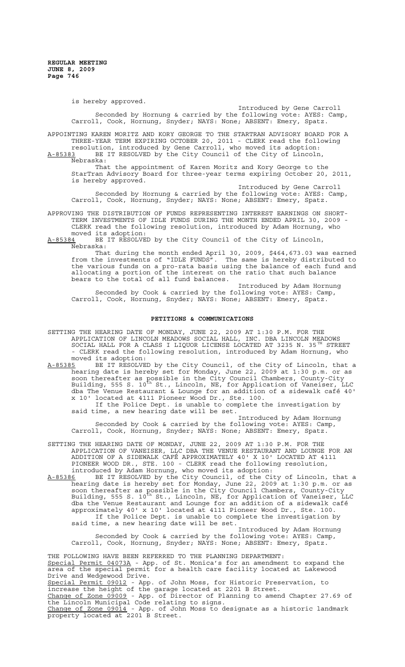is hereby approved.

Introduced by Gene Carroll Seconded by Hornung & carried by the following vote: AYES: Camp, Carroll, Cook, Hornung, Snyder; NAYS: None; ABSENT: Emery, Spatz.

APPOINTING KAREN MORITZ AND KORY GEORGE TO THE STARTRAN ADVISORY BOARD FOR A THREE-YEAR TERM EXPIRING OCTOBER 20, 2011 - CLERK read the following resolution, introduced by Gene Carroll, who moved its adoption:

A-85383 BE IT RESOLVED by the City Council of the City of Lincoln, Nebraska:

That the appointment of Karen Moritz and Kory George to the StarTran Advisory Board for three-year terms expiring October 20, 2011, is hereby approved.

Introduced by Gene Carroll

Seconded by Hornung & carried by the following vote: AYES: Camp, Carroll, Cook, Hornung, Snyder; NAYS: None; ABSENT: Emery, Spatz.

APPROVING THE DISTRIBUTION OF FUNDS REPRESENTING INTEREST EARNINGS ON SHORT-TERM INVESTMENTS OF IDLE FUNDS DURING THE MONTH ENDED APRIL 30, 2009 - CLERK read the following resolution, introduced by Adam Hornung, who moved its adoption:<br>A-85384 BE IT RESOLVE

BE IT RESOLVED by the City Council of the City of Lincoln, Nebraska:

That during the month ended April 30, 2009, \$464,673.03 was earned from the investments of "IDLE FUNDS". The same is hereby distributed to the various funds on a pro-rata basis using the balance of each fund and allocating a portion of the interest on the ratio that such balance bears to the total of all fund balances.

Introduced by Adam Hornung Seconded by Cook & carried by the following vote: AYES: Camp, Carroll, Cook, Hornung, Snyder; NAYS: None; ABSENT: Emery, Spatz.

#### **PETITIONS & COMMUNICATIONS**

SETTING THE HEARING DATE OF MONDAY, JUNE 22, 2009 AT 1:30 P.M. FOR THE APPLICATION OF LINCOLN MEADOWS SOCIAL HALL, INC. DBA LINCOLN MEADOWS SOCIAL HALL FOR A CLASS I LIQUOR LICENSE LOCATED AT 3235 N. 35 $^{TH}$  STREET - CLERK read the following resolution, introduced by Adam Hornung, who moved its adoption:<br>A-85385 BE IT RESOLVE

A-85385 BE IT RESOLVED by the City Council, of the City of Lincoln, that a hearing date is hereby set for Monday, June 22, 2009 at 1:30 p.m. or as soon thereafter as possible in the City Council Chambers, County-City Building, 555 S. 10<sup>th</sup> St., Lincoln, NE, for Application of Vaneiser, LLC dba The Venue Restaurant & Lounge for an addition of a sidewalk café 40' x 10' located at 4111 Pioneer Wood Dr., Ste. 100. If the Police Dept. is unable to complete the investigation by

said time, a new hearing date will be set.

Introduced by Adam Hornung Seconded by Cook & carried by the following vote: AYES: Camp, Carroll, Cook, Hornung, Snyder; NAYS: None; ABSENT: Emery, Spatz.

SETTING THE HEARING DATE OF MONDAY, JUNE 22, 2009 AT 1:30 P.M. FOR THE APPLICATION OF VANEISER, LLC DBA THE VENUE RESTAURANT AND LOUNGE FOR AN ADDITION OF A SIDEWALK CAFÉ APPROXIMATELY 40' X 10' LOCATED AT 4111 PIONEER WOOD DR., STE. 100 - CLERK read the following resolution, introduced by Adam Hornung, who moved its adoption:

A-85386 BE IT RESOLVED by the City Council, of the City of Lincoln, that a hearing date is hereby set for Monday, June 22, 2009 at 1:30 p.m. or as soon thereafter as possible in the City Council Chambers, County-City Building, 555 S. 10<sup>th</sup> St., Lincoln, NE, for Application of Vaneiser, LLC dba the Venue Restaurant and Lounge for an addition of a sidewalk café approximately 40' x 10' located at 4111 Pioneer Wood Dr., Ste. 100. If the Police Dept. is unable to complete the investigation by said time, a new hearing date will be set.

Introduced by Adam Hornung Seconded by Cook & carried by the following vote: AYES: Camp, Carroll, Cook, Hornung, Snyder; NAYS: None; ABSENT: Emery, Spatz.

THE FOLLOWING HAVE BEEN REFERRED TO THE PLANNING DEPARTMENT: Special Permit 04073A - App. of St. Monica's for an amendment to expand the area of the special permit for a health care facility located at Lakewood Drive and Wedgewood Drive. Special Permit 09012 - App. of John Moss, for Historic Preservation, to increase the height of the garage located at 2201 B Street. Change of Zone 09009 - App. of Director of Planning to amend Chapter 27.69 of the Lincoln Municipal Code relating to signs. Change of Zone 09014 - App. of John Moss to designate as a historic landmark property located at 2201 B Street.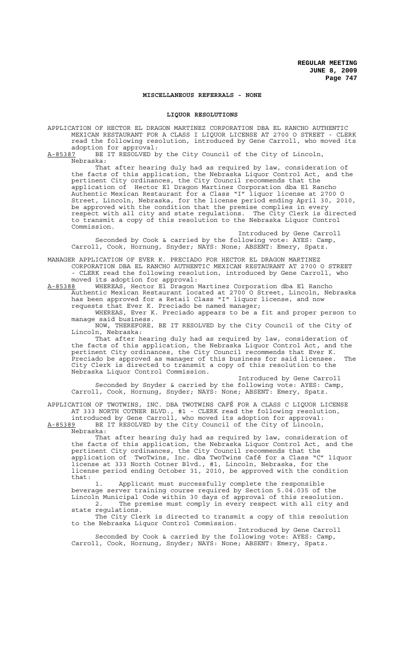#### MISCELLANEOUS REFERRALS - NONE

#### **LIQUOR RESOLUTIONS**

APPLICATION OF HECTOR EL DRAGON MARTINEZ CORPORATION DBA EL RANCHO AUTHENTIC MEXICAN RESTAURANT FOR A CLASS I LIQUOR LICENSE AT 2700 O STREET - CLERK read the following resolution, introduced by Gene Carroll, who moved its

adoption for approval:<br>A-85387 BE IT RESOLVED b BE IT RESOLVED by the City Council of the City of Lincoln, \_\_<br>Nebraska:

That after hearing duly had as required by law, consideration of the facts of this application, the Nebraska Liquor Control Act, and the pertinent City ordinances, the City Council recommends that the application of Hector El Dragon Martinez Corporation dba El Rancho Authentic Mexican Restaurant for a Class "I" liquor license at 2700 O Street, Lincoln, Nebraska, for the license period ending April 30, 2010, be approved with the condition that the premise complies in every respect with all city and state regulations. The City Clerk is directed to transmit a copy of this resolution to the Nebraska Liquor Control Commission.

Introduced by Gene Carroll Seconded by Cook & carried by the following vote: AYES: Camp, Carroll, Cook, Hornung, Snyder; NAYS: None; ABSENT: Emery, Spatz.

MANAGER APPLICATION OF EVER K. PRECIADO FOR HECTOR EL DRAGON MARTINEZ CORPORATION DBA EL RANCHO AUTHENTIC MEXICAN RESTAURANT AT 2700 O STREET - CLERK read the following resolution, introduced by Gene Carroll, who moved its adoption for approval:

A-85388 WHEREAS, Hector El Dragon Martinez Corporation dba El Rancho Authentic Mexican Restaurant located at 2700 O Street, Lincoln, Nebraska has been approved for a Retail Class "I" liquor license, and now requests that Ever K. Preciado be named manager;

WHEREAS, Ever K. Preciado appears to be a fit and proper person to manage said business.

NOW, THEREFORE, BE IT RESOLVED by the City Council of the City of Lincoln, Nebraska:

That after hearing duly had as required by law, consideration of the facts of this application, the Nebraska Liquor Control Act, and the pertinent City ordinances, the City Council recommends that Ever K. Preciado be approved as manager of this business for said licensee. The City Clerk is directed to transmit a copy of this resolution to the Nebraska Liquor Control Commission.

Introduced by Gene Carroll Seconded by Snyder & carried by the following vote: AYES: Camp, Carroll, Cook, Hornung, Snyder; NAYS: None; ABSENT: Emery, Spatz.

APPLICATION OF TWOTWINS, INC. DBA TWOTWINS CAFÉ FOR A CLASS C LIQUOR LICENSE AT 333 NORTH COTNER BLVD., #1 - CLERK read the following resolution, introduced by Gene Carroll, who moved its adoption for approval:

A-85389 BE IT RESOLVED by the City Council of the City of Lincoln, Nebraska:

That after hearing duly had as required by law, consideration of the facts of this application, the Nebraska Liquor Control Act, and the pertinent City ordinances, the City Council recommends that the application of TwoTwins, Inc. dba TwoTwins Café for a Class "C" liquor license at 333 North Cotner Blvd., #1, Lincoln, Nebraska, for the license period ending October 31, 2010, be approved with the condition that:

1. Applicant must successfully complete the responsible beverage server training course required by Section 5.04.035 of the Lincoln Municipal Code within 30 days of approval of this resolution.<br>2. The premise must comply in every respect with all city an The premise must comply in every respect with all city and state regulations.

The City Clerk is directed to transmit a copy of this resolution to the Nebraska Liquor Control Commission.

Introduced by Gene Carroll Seconded by Cook & carried by the following vote: AYES: Camp, Carroll, Cook, Hornung, Snyder; NAYS: None; ABSENT: Emery, Spatz.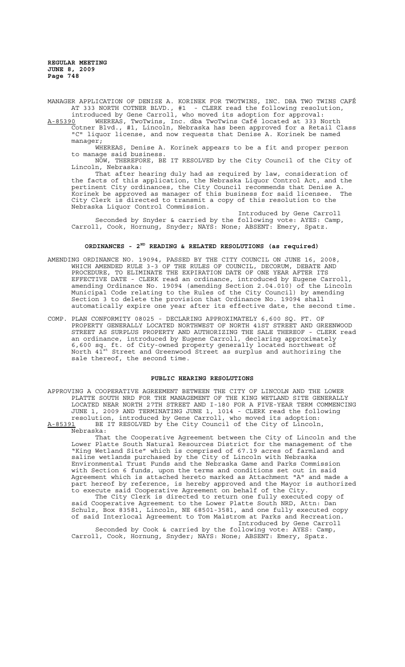MANAGER APPLICATION OF DENISE A. KORINEK FOR TWOTWINS, INC. DBA TWO TWINS CAFÉ AT 333 NORTH COTNER BLVD., #1 - CLERK read the following resolution, introduced by Gene Carroll, who moved its adoption for approval:

A-85390 WHEREAS, TwoTwins, Inc. dba TwoTwins Café located at 333 North Cotner Blvd., #1, Lincoln, Nebraska has been approved for a Retail Class "C" liquor license, and now requests that Denise A. Korinek be named manager;

WHEREAS, Denise A. Korinek appears to be a fit and proper person to manage said business.

NOW, THEREFORE, BE IT RESOLVED by the City Council of the City of Lincoln, Nebraska:

That after hearing duly had as required by law, consideration of the facts of this application, the Nebraska Liquor Control Act, and the pertinent City ordinances, the City Council recommends that Denise A. Korinek be approved as manager of this business for said licensee. The City Clerk is directed to transmit a copy of this resolution to the Nebraska Liquor Control Commission.

Introduced by Gene Carroll Seconded by Snyder & carried by the following vote: AYES: Camp, Carroll, Cook, Hornung, Snyder; NAYS: None; ABSENT: Emery, Spatz.

# **ORDINANCES - 2ND READING & RELATED RESOLUTIONS (as required)**

- AMENDING ORDINANCE NO. 19094, PASSED BY THE CITY COUNCIL ON JUNE 16, 2008, WHICH AMENDED RULE 3-3 OF THE RULES OF COUNCIL, DECORUM, DEBATE AND PROCEDURE, TO ELIMINATE THE EXPIRATION DATE OF ONE YEAR AFTER ITS EFFECTIVE DATE - CLERK read an ordinance, introduced by Eugene Carroll, amending Ordinance No. 19094 (amending Section 2.04.010) of the Lincoln Municipal Code relating to the Rules of the City Council) by amending Section 3 to delete the provision that Ordinance No. 19094 shall automatically expire one year after its effective date, the second time.
- COMP. PLAN CONFORMITY 08025 DECLARING APPROXIMATELY 6,600 SQ. FT. OF PROPERTY GENERALLY LOCATED NORTHWEST OF NORTH 41ST STREET AND GREENWOOD STREET AS SURPLUS PROPERTY AND AUTHORIZING THE SALE THEREOF - CLERK read an ordinance, introduced by Eugene Carroll, declaring approximately 6,600 sq. ft. of City-owned property generally located northwest of North  $41^{\text{st}}$  Street and Greenwood Street as surplus and authorizing the sale thereof, the second time.

#### **PUBLIC HEARING RESOLUTIONS**

APPROVING A COOPERATIVE AGREEMENT BETWEEN THE CITY OF LINCOLN AND THE LOWER PLATTE SOUTH NRD FOR THE MANAGEMENT OF THE KING WETLAND SITE GENERALLY LOCATED NEAR NORTH 27TH STREET AND I-180 FOR A FIVE-YEAR TERM COMMENCING JUNE 1, 2009 AND TERMINATING JUNE 1, 1014 - CLERK read the following resolution, introduced by Gene Carroll, who moved its adoption: A-85391 BE IT RESOLVED by the City Council of the City of Lincoln,

Nebraska: That the Cooperative Agreement between the City of Lincoln and the Lower Platte South Natural Resources District for the management of the "King Wetland Site" which is comprised of 67.19 acres of farmland and saline wetlands purchased by the City of Lincoln with Nebraska Environmental Trust Funds and the Nebraska Game and Parks Commission with Section 6 funds, upon the terms and conditions set out in said Agreement which is attached hereto marked as Attachment "A" and made a part hereof by reference, is hereby approved and the Mayor is authorized

to execute said Cooperative Agreement on behalf of the City. The City Clerk is directed to return one fully executed copy of said Cooperative Agreement to the Lower Platte South NRD, Attn: Dan Schulz, Box 83581, Lincoln, NE 68501-3581, and one fully executed copy of said Interlocal Agreement to Tom Malstrom at Parks and Recreation. Introduced by Gene Carroll

Seconded by Cook & carried by the following vote: AYES: Camp, Carroll, Cook, Hornung, Snyder; NAYS: None; ABSENT: Emery, Spatz.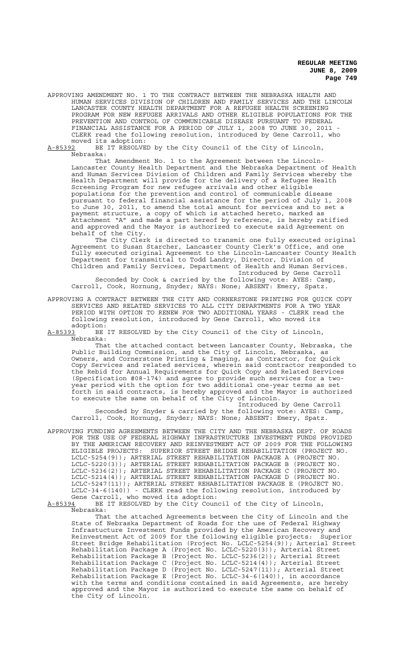APPROVING AMENDMENT NO. 1 TO THE CONTRACT BETWEEN THE NEBRASKA HEALTH AND HUMAN SERVICES DIVISION OF CHILDREN AND FAMILY SERVICES AND THE LINCOLN LANCASTER COUNTY HEALTH DEPARTMENT FOR A REFUGEE HEALTH SCREENING PROGRAM FOR NEW REFUGEE ARRIVALS AND OTHER ELIGIBLE POPULATIONS FOR THE PREVENTION AND CONTROL OF COMMUNICABLE DISEASE PURSUANT TO FEDERAL FINANCIAL ASSISTANCE FOR A PERIOD OF JULY 1, 2008 TO JUNE 30, 2011 CLERK read the following resolution, introduced by Gene Carroll, who moved its adoption:<br><u>A-85392</u> BE IT RESOLVE

BE IT RESOLVED by the City Council of the City of Lincoln, Nebraska:

That Amendment No. 1 to the Agreement between the Lincoln-Lancaster County Health Department and the Nebraska Department of Health and Human Services Division of Children and Family Services whereby the Health Department will provide for the delivery of a Refugee Health Screening Program for new refugee arrivals and other eligible populations for the prevention and control of communicable disease pursuant to federal financial assistance for the period of July 1, 2008 to June 30, 2011, to amend the total amount for services and to set a payment structure, a copy of which is attached hereto, marked as Attachment "A" and made a part hereof by reference, is hereby ratified and approved and the Mayor is authorized to execute said Agreement on behalf of the City.

The City Clerk is directed to transmit one fully executed original Agreement to Susan Starcher, Lancaster County Clerk's Office, and one fully executed original Agreement to the Lincoln-Lancaster County Health Department for transmittal to Todd Landry, Director, Division of Children and Family Services, Department of Health and Human Services. Introduced by Gene Carroll

Seconded by Cook & carried by the following vote: AYES: Camp, Carroll, Cook, Hornung, Snyder; NAYS: None; ABSENT: Emery, Spatz.

APPROVING A CONTRACT BETWEEN THE CITY AND CORNERSTONE PRINTING FOR QUICK COPY SERVICES AND RELATED SERVICES TO ALL CITY DEPARTMENTS FOR A TWO YEAR PERIOD WITH OPTION TO RENEW FOR TWO ADDITIONAL YEARS - CLERK read the following resolution, introduced by Gene Carroll, who moved its

adoption:<br><u>A-85393</u> BE BE IT RESOLVED by the City Council of the City of Lincoln, Nebraska:

That the attached contact between Lancaster County, Nebraska, the Public Building Commission, and the City of Lincoln, Nebraska, as Owners, and Cornerstone Printing & Imaging, as Contractor, for Quick Copy Services and related services, wherein said contractor responded to the Rebid for Annual Requirements for Quick Copy and Related Services (Specification #08-174) and agree to provide such services for a twoyear period with the option for two additional one-year terms as set forth in said contracts, is hereby approved and the Mayor is authorized to execute the same on behalf of the City of Lincoln.

Introduced by Gene Carroll Seconded by Snyder & carried by the following vote: AYES: Camp, Carroll, Cook, Hornung, Snyder; NAYS: None; ABSENT: Emery, Spatz.

APPROVING FUNDING AGREEMENTS BETWEEN THE CITY AND THE NEBRASKA DEPT. OF ROADS FOR THE USE OF FEDERAL HIGHWAY INFRASTRUCTURE INVESTMENT FUNDS PROVIDED BY THE AMERICAN RECOVERY AND REINVESTMENT ACT OF 2009 FOR THE FOLLOWING ELIGIBLE PROJECTS: SUPERIOR STREET BRIDGE REHABILITATION (PROJECT NO. LCLC-5254(9)); ARTERIAL STREET REHABILITATION PACKAGE A (PROJECT NO. LCLC-5220(3)); ARTERIAL STREET REHABILITATION PACKAGE B (PROJECT NO. LCLC-5236(2)); ARTERIAL STREET REHABILITATION PACKAGE C (PROJECT NO. LCLC-5214(4)); ARTERIAL STREET REHABILITATION PACKAGE D (PROJECT NO. LCLC-5247(11)); ARTERIAL STREET REHABILITATION PACKAGE E (PROJECT NO. LCLC-34-6(140)) - CLERK read the following resolution, introduced by Gene Carroll, who moved its adoption:

A-85394 BE IT RESOLVED by the City Council of the City of Lincoln, Nebraska:

That the attached Agreements between the City of Lincoln and the State of Nebraska Department of Roads for the use of Federal Highway Infrastucture Investment Funds provided by the American Recovery and Reinvestment Act of 2009 for the following eligible projects: Superior Street Bridge Rehabilitation (Project No. LCLC-5254(9)); Arterial Street Rehabilitation Package A (Project No. LCLC-5220(3)); Arterial Street Rehabilitation Package B (Project No. LCLC-5236(2)); Arterial Street Rehabilitation Package C (Project No. LCLC-5214(4)); Arterial Street Rehabilitation Package D (Project No. LCLC-5247(11)); Arterial Street Rehabilitation Package E (Project No. LCLC-34-6(140)), in accordance with the terms and conditions contained in said Agreements, are hereby approved and the Mayor is authorized to execute the same on behalf of the City of Lincoln.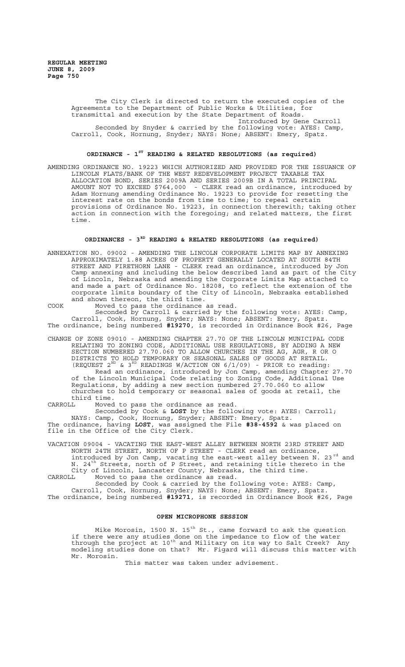The City Clerk is directed to return the executed copies of the Agreements to the Department of Public Works & Utilities, for transmittal and execution by the State Department of Roads. Introduced by Gene Carroll Seconded by Snyder & carried by the following vote: AYES: Camp, Carroll, Cook, Hornung, Snyder; NAYS: None; ABSENT: Emery, Spatz.

## **ORDINANCE - 1ST READING & RELATED RESOLUTIONS (as required)**

AMENDING ORDINANCE NO. 19223 WHICH AUTHORIZED AND PROVIDED FOR THE ISSUANCE OF LINCOLN FLATS/BANK OF THE WEST REDEVELOPMENT PROJECT TAXABLE TAX ALLOCATION BOND, SERIES 2009A AND SERIES 2009B IN A TOTAL PRINCIPAL AMOUNT NOT TO EXCEED \$764,000 - CLERK read an ordinance, introduced by Adam Hornung amending Ordinance No. 19223 to provide for resetting the interest rate on the bonds from time to time; to repeal certain provisions of Ordinance No. 19223, in connection therewith; taking other action in connection with the foregoing; and related matters, the first time.

# **ORDINANCES - 3RD READING & RELATED RESOLUTIONS (as required)**

- ANNEXATION NO. 09002 AMENDING THE LINCOLN CORPORATE LIMITS MAP BY ANNEXING APPROXIMATELY 1.88 ACRES OF PROPERTY GENERALLY LOCATED AT SOUTH 84TH STREET AND FIRETHORN LANE - CLERK read an ordinance, introduced by Jon Camp annexing and including the below described land as part of the City of Lincoln, Nebraska and amending the Corporate Limits Map attached to and made a part of Ordinance No. 18208, to reflect the extension of the corporate limits boundary of the City of Lincoln, Nebraska established and shown thereon, the third time.
- COOK Moved to pass the ordinance as read. Seconded by Carroll & carried by the following vote: AYES: Camp, Carroll, Cook, Hornung, Snyder; NAYS: None; ABSENT: Emery, Spatz. The ordinance, being numbered **#19270**, is recorded in Ordinance Book #26, Page
- CHANGE OF ZONE 09010 AMENDING CHAPTER 27.70 OF THE LINCOLN MUNICIPAL CODE RELATING TO ZONING CODE, ADDITIONAL USE REGULATIONS, BY ADDING A NEW SECTION NUMBERED 27.70.060 TO ALLOW CHURCHES IN THE AG, AGR, R OR O DISTRICTS TO HOLD TEMPORARY OR SEASONAL SALES OF GOODS AT RETAIL. (REQUEST  $2^{ND}$  &  $3^{RD}$  READINGS W/ACTION ON  $6/1/09$ ) - PRIOR to reading: Read an ordinance, introduced by Jon Camp, amending Chapter 27.70 of the Lincoln Municipal Code relating to Zoning Code, Additional Use Regulations, by adding a new section numbered 27.70.060 to allow churches to hold temporary or seasonal sales of goods at retail, the third time.<br>CARROLL Moved

Moved to pass the ordinance as read.

Seconded by Cook & **LOST** by the following vote: AYES: Carroll; NAYS: Camp, Cook, Hornung, Snyder; ABSENT: Emery, Spatz. The ordinance, having **LOST**, was assigned the File **#38-4592** & was placed on file in the Office of the City Clerk.

VACATION 09004 - VACATING THE EAST-WEST ALLEY BETWEEN NORTH 23RD STREET AND NORTH 24TH STREET, NORTH OF P STREET - CLERK read an ordinance, introduced by Jon Camp, vacating the east-west alley between  $N$ . 23<sup>rd</sup> and N. 24<sup>th</sup> Streets, north of P Street, and retaining title thereto in the City of Lincoln, Lancaster County, Nebraska, the third time.

CARROLL Moved to pass the ordinance as read. Seconded by Cook & carried by the following vote: AYES: Camp, Carroll, Cook, Hornung, Snyder; NAYS: None; ABSENT: Emery, Spatz.

The ordinance, being numbered **#19271**, is recorded in Ordinance Book #26, Page

### **OPEN MICROPHONE SESSION**

Mike Morosin, 1500 N. 15 $^{\rm th}$  St., came forward to ask the question if there were any studies done on the impedance to flow of the water through the project at 10<sup>th</sup> and Military on its way to Salt Creek? Any modeling studies done on that? Mr. Figard will discuss this matter with Mr. Morosin.

This matter was taken under advisement.